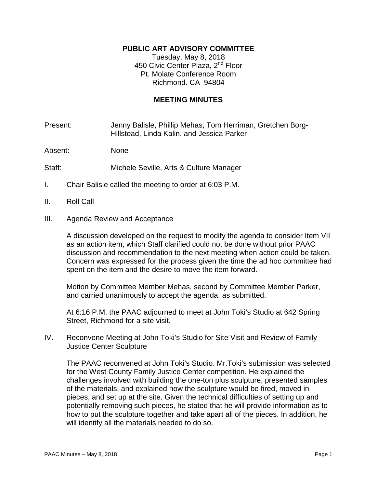## **PUBLIC ART ADVISORY COMMITTEE**

Tuesday, May 8, 2018 450 Civic Center Plaza, 2<sup>nd</sup> Floor Pt. Molate Conference Room Richmond. CA 94804

## **MEETING MINUTES**

Present: Jenny Balisle, Phillip Mehas, Tom Herriman, Gretchen Borg-Hillstead, Linda Kalin, and Jessica Parker

Absent: None

- Staff: Michele Seville, Arts & Culture Manager
- I. Chair Balisle called the meeting to order at 6:03 P.M.
- II. Roll Call
- III. Agenda Review and Acceptance

A discussion developed on the request to modify the agenda to consider Item VII as an action item, which Staff clarified could not be done without prior PAAC discussion and recommendation to the next meeting when action could be taken. Concern was expressed for the process given the time the ad hoc committee had spent on the item and the desire to move the item forward.

Motion by Committee Member Mehas, second by Committee Member Parker, and carried unanimously to accept the agenda, as submitted.

At 6:16 P.M. the PAAC adjourned to meet at John Toki's Studio at 642 Spring Street, Richmond for a site visit.

IV. Reconvene Meeting at John Toki's Studio for Site Visit and Review of Family Justice Center Sculpture

The PAAC reconvened at John Toki's Studio. Mr.Toki's submission was selected for the West County Family Justice Center competition. He explained the challenges involved with building the one-ton plus sculpture, presented samples of the materials, and explained how the sculpture would be fired, moved in pieces, and set up at the site. Given the technical difficulties of setting up and potentially removing such pieces, he stated that he will provide information as to how to put the sculpture together and take apart all of the pieces. In addition, he will identify all the materials needed to do so.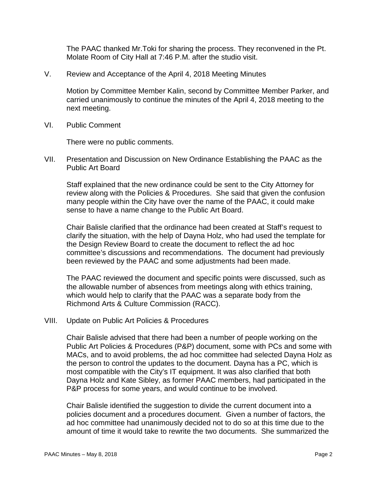The PAAC thanked Mr.Toki for sharing the process. They reconvened in the Pt. Molate Room of City Hall at 7:46 P.M. after the studio visit.

V. Review and Acceptance of the April 4, 2018 Meeting Minutes

Motion by Committee Member Kalin, second by Committee Member Parker, and carried unanimously to continue the minutes of the April 4, 2018 meeting to the next meeting.

VI. Public Comment

There were no public comments.

VII. Presentation and Discussion on New Ordinance Establishing the PAAC as the Public Art Board

Staff explained that the new ordinance could be sent to the City Attorney for review along with the Policies & Procedures. She said that given the confusion many people within the City have over the name of the PAAC, it could make sense to have a name change to the Public Art Board.

Chair Balisle clarified that the ordinance had been created at Staff's request to clarify the situation, with the help of Dayna Holz, who had used the template for the Design Review Board to create the document to reflect the ad hoc committee's discussions and recommendations. The document had previously been reviewed by the PAAC and some adjustments had been made.

The PAAC reviewed the document and specific points were discussed, such as the allowable number of absences from meetings along with ethics training, which would help to clarify that the PAAC was a separate body from the Richmond Arts & Culture Commission (RACC).

VIII. Update on Public Art Policies & Procedures

Chair Balisle advised that there had been a number of people working on the Public Art Policies & Procedures (P&P) document, some with PCs and some with MACs, and to avoid problems, the ad hoc committee had selected Dayna Holz as the person to control the updates to the document. Dayna has a PC, which is most compatible with the City's IT equipment. It was also clarified that both Dayna Holz and Kate Sibley, as former PAAC members, had participated in the P&P process for some years, and would continue to be involved.

Chair Balisle identified the suggestion to divide the current document into a policies document and a procedures document. Given a number of factors, the ad hoc committee had unanimously decided not to do so at this time due to the amount of time it would take to rewrite the two documents. She summarized the